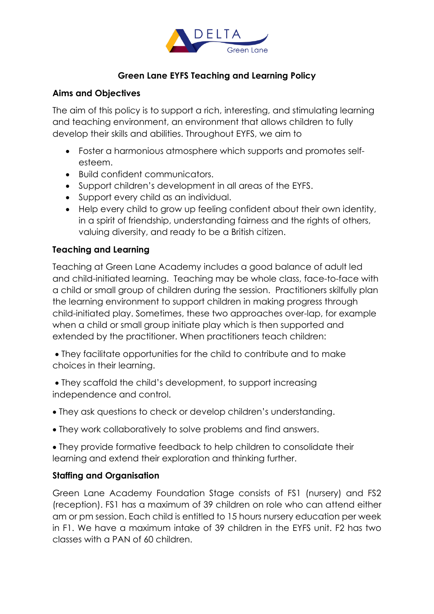

# **Green Lane EYFS Teaching and Learning Policy**

#### **Aims and Objectives**

The aim of this policy is to support a rich, interesting, and stimulating learning and teaching environment, an environment that allows children to fully develop their skills and abilities. Throughout EYFS, we aim to

- Foster a harmonious atmosphere which supports and promotes selfesteem.
- Build confident communicators.
- Support children's development in all areas of the EYFS.
- Support every child as an individual.
- Help every child to grow up feeling confident about their own identity, in a spirit of friendship, understanding fairness and the rights of others, valuing diversity, and ready to be a British citizen.

#### **Teaching and Learning**

Teaching at Green Lane Academy includes a good balance of adult led and child-initiated learning. Teaching may be whole class, face-to-face with a child or small group of children during the session. Practitioners skilfully plan the learning environment to support children in making progress through child-initiated play. Sometimes, these two approaches over-lap, for example when a child or small group initiate play which is then supported and extended by the practitioner. When practitioners teach children:

• They facilitate opportunities for the child to contribute and to make choices in their learning.

• They scaffold the child's development, to support increasing independence and control.

- They ask questions to check or develop children's understanding.
- They work collaboratively to solve problems and find answers.

• They provide formative feedback to help children to consolidate their learning and extend their exploration and thinking further.

#### **Staffing and Organisation**

Green Lane Academy Foundation Stage consists of FS1 (nursery) and FS2 (reception). FS1 has a maximum of 39 children on role who can attend either am or pm session. Each child is entitled to 15 hours nursery education per week in F1. We have a maximum intake of 39 children in the EYFS unit. F2 has two classes with a PAN of 60 children.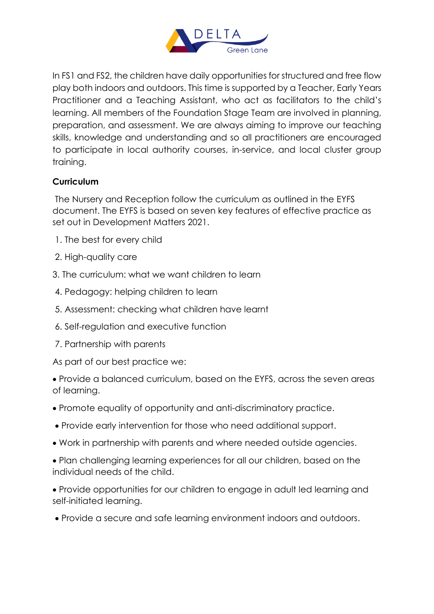

In FS1 and FS2, the children have daily opportunities for structured and free flow play both indoors and outdoors. This time is supported by a Teacher, Early Years Practitioner and a Teaching Assistant, who act as facilitators to the child's learning. All members of the Foundation Stage Team are involved in planning, preparation, and assessment. We are always aiming to improve our teaching skills, knowledge and understanding and so all practitioners are encouraged to participate in local authority courses, in-service, and local cluster group training.

# **Curriculum**

The Nursery and Reception follow the curriculum as outlined in the EYFS document. The EYFS is based on seven key features of effective practice as set out in Development Matters 2021.

- 1. The best for every child
- 2. High-quality care
- 3. The curriculum: what we want children to learn
- 4. Pedagogy: helping children to learn
- 5. Assessment: checking what children have learnt
- 6. Self-regulation and executive function
- 7. Partnership with parents

As part of our best practice we:

• Provide a balanced curriculum, based on the EYFS, across the seven areas of learning.

- Promote equality of opportunity and anti-discriminatory practice.
- Provide early intervention for those who need additional support.
- Work in partnership with parents and where needed outside agencies.
- Plan challenging learning experiences for all our children, based on the individual needs of the child.
- Provide opportunities for our children to engage in adult led learning and self-initiated learning.
- Provide a secure and safe learning environment indoors and outdoors.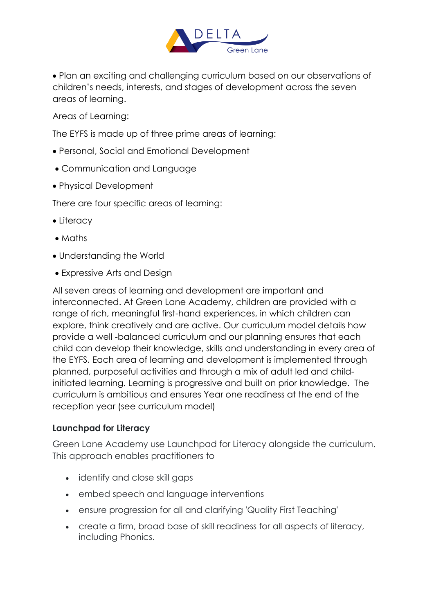

• Plan an exciting and challenging curriculum based on our observations of children's needs, interests, and stages of development across the seven areas of learning.

Areas of Learning:

The EYFS is made up of three prime areas of learning:

- Personal, Social and Emotional Development
- Communication and Language
- Physical Development

There are four specific areas of learning:

- Literacy
- Maths
- Understanding the World
- Expressive Arts and Design

All seven areas of learning and development are important and interconnected. At Green Lane Academy, children are provided with a range of rich, meaningful first-hand experiences, in which children can explore, think creatively and are active. Our curriculum model details how provide a well -balanced curriculum and our planning ensures that each child can develop their knowledge, skills and understanding in every area of the EYFS. Each area of learning and development is implemented through planned, purposeful activities and through a mix of adult led and childinitiated learning. Learning is progressive and built on prior knowledge. The curriculum is ambitious and ensures Year one readiness at the end of the reception year (see curriculum model)

#### **Launchpad for Literacy**

Green Lane Academy use Launchpad for Literacy alongside the curriculum. This approach enables practitioners to

- identify and close skill gaps
- embed speech and language interventions
- ensure progression for all and clarifying 'Quality First Teaching'
- create a firm, broad base of skill readiness for all aspects of literacy, including Phonics.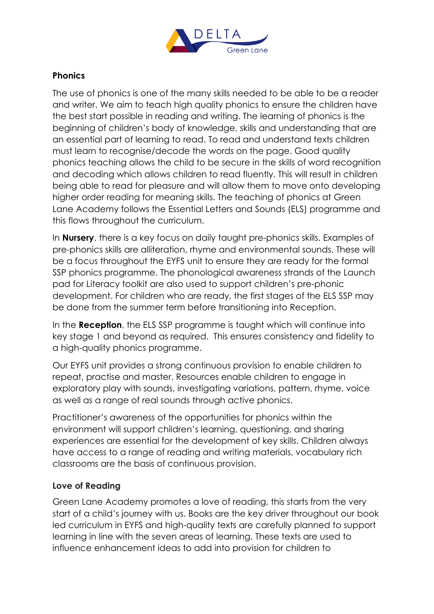

### **Phonics**

The use of phonics is one of the many skills needed to be able to be a reader and writer. We aim to teach high quality phonics to ensure the children have the best start possible in reading and writing. The learning of phonics is the beginning of children's body of knowledge, skills and understanding that are an essential part of learning to read. To read and understand texts children must learn to recognise/decode the words on the page. Good quality phonics teaching allows the child to be secure in the skills of word recognition and decoding which allows children to read fluently. This will result in children being able to read for pleasure and will allow them to move onto developing higher order reading for meaning skills. The teaching of phonics at Green Lane Academy follows the Essential Letters and Sounds (ELS) programme and this flows throughout the curriculum.

In **Nursery**, there is a key focus on daily taught pre-phonics skills. Examples of pre-phonics skills are alliteration, rhyme and environmental sounds. These will be a focus throughout the EYFS unit to ensure they are ready for the formal SSP phonics programme. The phonological awareness strands of the Launch pad for Literacy toolkit are also used to support children's pre-phonic development. For children who are ready, the first stages of the ELS SSP may be done from the summer term before transitioning into Reception.

In the **Reception**, the ELS SSP programme is taught which will continue into key stage 1 and beyond as required. This ensures consistency and fidelity to a high-quality phonics programme.

Our EYFS unit provides a strong continuous provision to enable children to repeat, practise and master. Resources enable children to engage in exploratory play with sounds, investigating variations, pattern, rhyme, voice as well as a range of real sounds through active phonics.

Practitioner's awareness of the opportunities for phonics within the environment will support children's learning, questioning, and sharing experiences are essential for the development of key skills. Children always have access to a range of reading and writing materials, vocabulary rich classrooms are the basis of continuous provision.

#### **Love of Reading**

Green Lane Academy promotes a love of reading, this starts from the very start of a child's journey with us. Books are the key driver throughout our book led curriculum in EYFS and high-quality texts are carefully planned to support learning in line with the seven areas of learning. These texts are used to influence enhancement ideas to add into provision for children to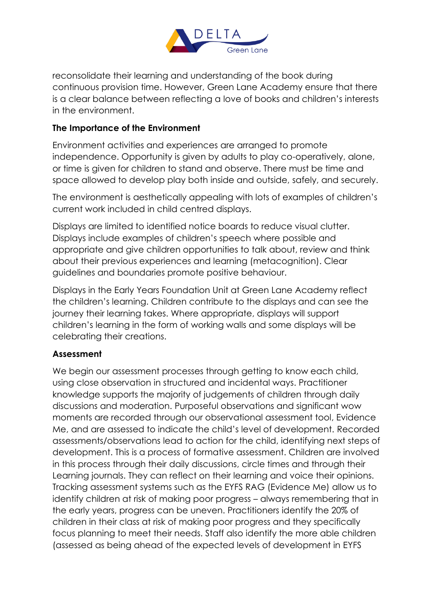

reconsolidate their learning and understanding of the book during continuous provision time. However, Green Lane Academy ensure that there is a clear balance between reflecting a love of books and children's interests in the environment.

### **The Importance of the Environment**

Environment activities and experiences are arranged to promote independence. Opportunity is given by adults to play co-operatively, alone, or time is given for children to stand and observe. There must be time and space allowed to develop play both inside and outside, safely, and securely.

The environment is aesthetically appealing with lots of examples of children's current work included in child centred displays.

Displays are limited to identified notice boards to reduce visual clutter. Displays include examples of children's speech where possible and appropriate and give children opportunities to talk about, review and think about their previous experiences and learning (metacognition). Clear guidelines and boundaries promote positive behaviour.

Displays in the Early Years Foundation Unit at Green Lane Academy reflect the children's learning. Children contribute to the displays and can see the journey their learning takes. Where appropriate, displays will support children's learning in the form of working walls and some displays will be celebrating their creations.

#### **Assessment**

We begin our assessment processes through getting to know each child, using close observation in structured and incidental ways. Practitioner knowledge supports the majority of judgements of children through daily discussions and moderation. Purposeful observations and significant wow moments are recorded through our observational assessment tool, Evidence Me, and are assessed to indicate the child's level of development. Recorded assessments/observations lead to action for the child, identifying next steps of development. This is a process of formative assessment. Children are involved in this process through their daily discussions, circle times and through their Learning journals. They can reflect on their learning and voice their opinions. Tracking assessment systems such as the EYFS RAG (Evidence Me) allow us to identify children at risk of making poor progress – always remembering that in the early years, progress can be uneven. Practitioners identify the 20% of children in their class at risk of making poor progress and they specifically focus planning to meet their needs. Staff also identify the more able children (assessed as being ahead of the expected levels of development in EYFS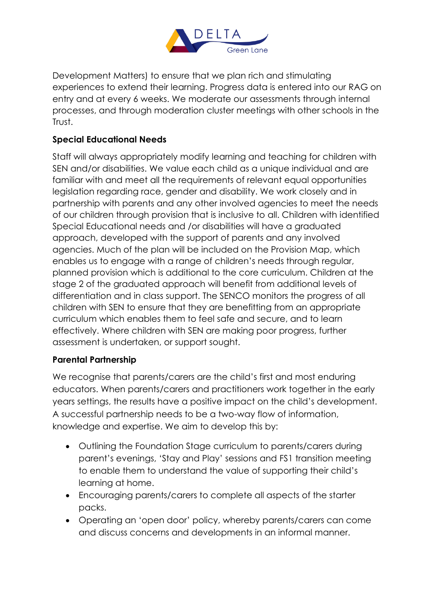

Development Matters) to ensure that we plan rich and stimulating experiences to extend their learning. Progress data is entered into our RAG on entry and at every 6 weeks. We moderate our assessments through internal processes, and through moderation cluster meetings with other schools in the Trust.

# **Special Educational Needs**

Staff will always appropriately modify learning and teaching for children with SEN and/or disabilities. We value each child as a unique individual and are familiar with and meet all the requirements of relevant equal opportunities legislation regarding race, gender and disability. We work closely and in partnership with parents and any other involved agencies to meet the needs of our children through provision that is inclusive to all. Children with identified Special Educational needs and /or disabilities will have a graduated approach, developed with the support of parents and any involved agencies. Much of the plan will be included on the Provision Map, which enables us to engage with a range of children's needs through regular, planned provision which is additional to the core curriculum. Children at the stage 2 of the graduated approach will benefit from additional levels of differentiation and in class support. The SENCO monitors the progress of all children with SEN to ensure that they are benefitting from an appropriate curriculum which enables them to feel safe and secure, and to learn effectively. Where children with SEN are making poor progress, further assessment is undertaken, or support sought.

# **Parental Partnership**

We recognise that parents/carers are the child's first and most enduring educators. When parents/carers and practitioners work together in the early years settings, the results have a positive impact on the child's development. A successful partnership needs to be a two-way flow of information, knowledge and expertise. We aim to develop this by:

- Outlining the Foundation Stage curriculum to parents/carers during parent's evenings, 'Stay and Play' sessions and FS1 transition meeting to enable them to understand the value of supporting their child's learning at home.
- Encouraging parents/carers to complete all aspects of the starter packs.
- Operating an 'open door' policy, whereby parents/carers can come and discuss concerns and developments in an informal manner.